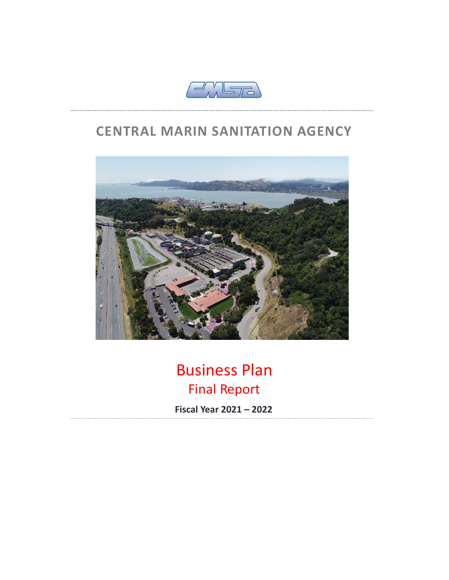

## **CENTRAL MARIN SANITATION AGENCY**



# Business Plan Final Report

**Fiscal Year 2021 – 2022**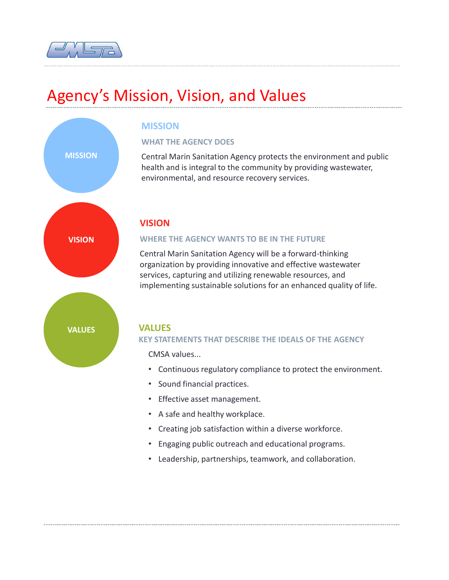

# Agency's Mission, Vision, and Values



### **MISSION**

#### **WHAT THE AGENCY DOES**

Central Marin Sanitation Agency protects the environment and public health and is integral to the community by providing wastewater, environmental, and resource recovery services.

### **VISION**

#### **WHERE THE AGENCY WANTS TO BE IN THE FUTURE**

Central Marin Sanitation Agency will be a forward-thinking organization by providing innovative and effective wastewater services, capturing and utilizing renewable resources, and implementing sustainable solutions for an enhanced quality of life.



#### **KEY STATEMENTS THAT DESCRIBE THE IDEALS OF THE AGENCY**

CMSA values...

- Continuous regulatory compliance to protect the environment.
- Sound financial practices.
- Effective asset management.
- A safe and healthy workplace.
- Creating job satisfaction within a diverse workforce.
- Engaging public outreach and educational programs.
- Leadership, partnerships, teamwork, and collaboration.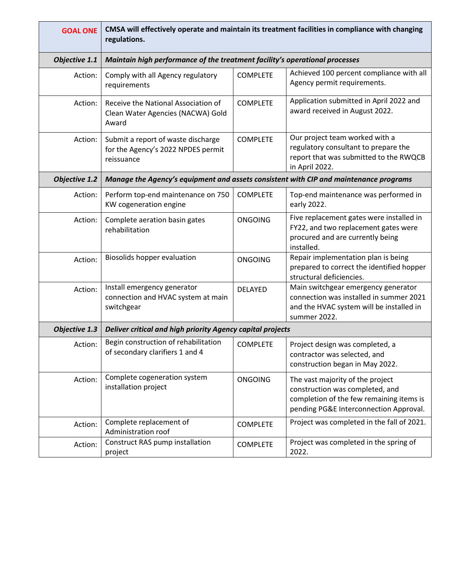| <b>GOAL ONE</b>      | CMSA will effectively operate and maintain its treatment facilities in compliance with changing<br>regulations. |                 |                                                                                                                                                           |
|----------------------|-----------------------------------------------------------------------------------------------------------------|-----------------|-----------------------------------------------------------------------------------------------------------------------------------------------------------|
| Objective 1.1        | Maintain high performance of the treatment facility's operational processes                                     |                 |                                                                                                                                                           |
| Action:              | Comply with all Agency regulatory<br>requirements                                                               | <b>COMPLETE</b> | Achieved 100 percent compliance with all<br>Agency permit requirements.                                                                                   |
| Action:              | Receive the National Association of<br>Clean Water Agencies (NACWA) Gold<br>Award                               | <b>COMPLETE</b> | Application submitted in April 2022 and<br>award received in August 2022.                                                                                 |
| Action:              | Submit a report of waste discharge<br>for the Agency's 2022 NPDES permit<br>reissuance                          | <b>COMPLETE</b> | Our project team worked with a<br>regulatory consultant to prepare the<br>report that was submitted to the RWQCB<br>in April 2022.                        |
| <b>Objective 1.2</b> | Manage the Agency's equipment and assets consistent with CIP and maintenance programs                           |                 |                                                                                                                                                           |
| Action:              | Perform top-end maintenance on 750<br>KW cogeneration engine                                                    | <b>COMPLETE</b> | Top-end maintenance was performed in<br>early 2022.                                                                                                       |
| Action:              | Complete aeration basin gates<br>rehabilitation                                                                 | <b>ONGOING</b>  | Five replacement gates were installed in<br>FY22, and two replacement gates were<br>procured and are currently being<br>installed.                        |
| Action:              | Biosolids hopper evaluation                                                                                     | <b>ONGOING</b>  | Repair implementation plan is being<br>prepared to correct the identified hopper<br>structural deficiencies.                                              |
| Action:              | Install emergency generator<br>connection and HVAC system at main<br>switchgear                                 | DELAYED         | Main switchgear emergency generator<br>connection was installed in summer 2021<br>and the HVAC system will be installed in<br>summer 2022.                |
| Objective 1.3        | Deliver critical and high priority Agency capital projects                                                      |                 |                                                                                                                                                           |
| Action:              | Begin construction of rehabilitation<br>of secondary clarifiers 1 and 4                                         | <b>COMPLETE</b> | Project design was completed, a<br>contractor was selected, and<br>construction began in May 2022.                                                        |
| Action:              | Complete cogeneration system<br>installation project                                                            | <b>ONGOING</b>  | The vast majority of the project<br>construction was completed, and<br>completion of the few remaining items is<br>pending PG&E Interconnection Approval. |
| Action:              | Complete replacement of<br>Administration roof                                                                  | <b>COMPLETE</b> | Project was completed in the fall of 2021.                                                                                                                |
| Action:              | Construct RAS pump installation<br>project                                                                      | <b>COMPLETE</b> | Project was completed in the spring of<br>2022.                                                                                                           |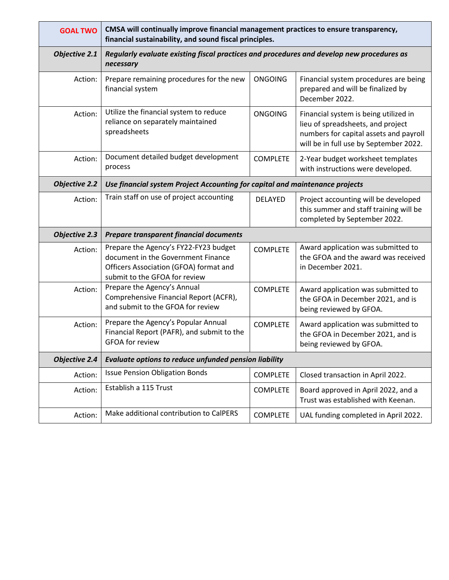| <b>GOAL TWO</b>      | CMSA will continually improve financial management practices to ensure transparency,<br>financial sustainability, and sound fiscal principles.         |                 |                                                                                                                                                                |  |
|----------------------|--------------------------------------------------------------------------------------------------------------------------------------------------------|-----------------|----------------------------------------------------------------------------------------------------------------------------------------------------------------|--|
| Objective 2.1        | Regularly evaluate existing fiscal practices and procedures and develop new procedures as<br>necessary                                                 |                 |                                                                                                                                                                |  |
| Action:              | Prepare remaining procedures for the new<br>financial system                                                                                           | <b>ONGOING</b>  | Financial system procedures are being<br>prepared and will be finalized by<br>December 2022.                                                                   |  |
| Action:              | Utilize the financial system to reduce<br>reliance on separately maintained<br>spreadsheets                                                            | <b>ONGOING</b>  | Financial system is being utilized in<br>lieu of spreadsheets, and project<br>numbers for capital assets and payroll<br>will be in full use by September 2022. |  |
| Action:              | Document detailed budget development<br>process                                                                                                        | <b>COMPLETE</b> | 2-Year budget worksheet templates<br>with instructions were developed.                                                                                         |  |
| <b>Objective 2.2</b> | Use financial system Project Accounting for capital and maintenance projects                                                                           |                 |                                                                                                                                                                |  |
| Action:              | Train staff on use of project accounting                                                                                                               | <b>DELAYED</b>  | Project accounting will be developed<br>this summer and staff training will be<br>completed by September 2022.                                                 |  |
| <b>Objective 2.3</b> | Prepare transparent financial documents                                                                                                                |                 |                                                                                                                                                                |  |
| Action:              | Prepare the Agency's FY22-FY23 budget<br>document in the Government Finance<br>Officers Association (GFOA) format and<br>submit to the GFOA for review | <b>COMPLETE</b> | Award application was submitted to<br>the GFOA and the award was received<br>in December 2021.                                                                 |  |
| Action:              | Prepare the Agency's Annual<br>Comprehensive Financial Report (ACFR),<br>and submit to the GFOA for review                                             | <b>COMPLETE</b> | Award application was submitted to<br>the GFOA in December 2021, and is<br>being reviewed by GFOA.                                                             |  |
| Action:              | Prepare the Agency's Popular Annual<br>Financial Report (PAFR), and submit to the<br><b>GFOA for review</b>                                            | <b>COMPLETE</b> | Award application was submitted to<br>the GFOA in December 2021, and is<br>being reviewed by GFOA.                                                             |  |
| <b>Objective 2.4</b> | Evaluate options to reduce unfunded pension liability                                                                                                  |                 |                                                                                                                                                                |  |
| Action:              | <b>Issue Pension Obligation Bonds</b>                                                                                                                  | <b>COMPLETE</b> | Closed transaction in April 2022.                                                                                                                              |  |
| Action:              | Establish a 115 Trust                                                                                                                                  | <b>COMPLETE</b> | Board approved in April 2022, and a<br>Trust was established with Keenan.                                                                                      |  |
| Action:              | Make additional contribution to CalPERS                                                                                                                | <b>COMPLETE</b> | UAL funding completed in April 2022.                                                                                                                           |  |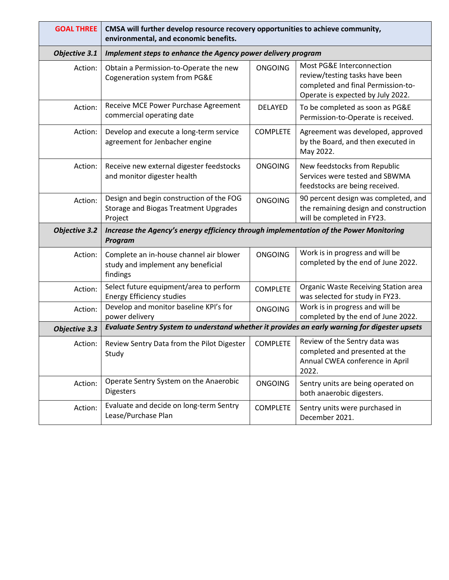| <b>GOAL THREE</b>    | CMSA will further develop resource recovery opportunities to achieve community,<br>environmental, and economic benefits. |                 |                                                                                                                                        |  |
|----------------------|--------------------------------------------------------------------------------------------------------------------------|-----------------|----------------------------------------------------------------------------------------------------------------------------------------|--|
| Objective 3.1        | Implement steps to enhance the Agency power delivery program                                                             |                 |                                                                                                                                        |  |
| Action:              | Obtain a Permission-to-Operate the new<br>Cogeneration system from PG&E                                                  | <b>ONGOING</b>  | Most PG&E Interconnection<br>review/testing tasks have been<br>completed and final Permission-to-<br>Operate is expected by July 2022. |  |
| Action:              | Receive MCE Power Purchase Agreement<br>commercial operating date                                                        | <b>DELAYED</b>  | To be completed as soon as PG&E<br>Permission-to-Operate is received.                                                                  |  |
| Action:              | Develop and execute a long-term service<br>agreement for Jenbacher engine                                                | <b>COMPLETE</b> | Agreement was developed, approved<br>by the Board, and then executed in<br>May 2022.                                                   |  |
| Action:              | Receive new external digester feedstocks<br>and monitor digester health                                                  | <b>ONGOING</b>  | New feedstocks from Republic<br>Services were tested and SBWMA<br>feedstocks are being received.                                       |  |
| Action:              | Design and begin construction of the FOG<br><b>Storage and Biogas Treatment Upgrades</b><br>Project                      | <b>ONGOING</b>  | 90 percent design was completed, and<br>the remaining design and construction<br>will be completed in FY23.                            |  |
| <b>Objective 3.2</b> | Increase the Agency's energy efficiency through implementation of the Power Monitoring<br>Program                        |                 |                                                                                                                                        |  |
| Action:              | Complete an in-house channel air blower<br>study and implement any beneficial<br>findings                                | <b>ONGOING</b>  | Work is in progress and will be<br>completed by the end of June 2022.                                                                  |  |
| Action:              | Select future equipment/area to perform<br><b>Energy Efficiency studies</b>                                              | <b>COMPLETE</b> | Organic Waste Receiving Station area<br>was selected for study in FY23.                                                                |  |
| Action:              | Develop and monitor baseline KPI's for<br>power delivery                                                                 | <b>ONGOING</b>  | Work is in progress and will be<br>completed by the end of June 2022.                                                                  |  |
| Objective 3.3        | Evaluate Sentry System to understand whether it provides an early warning for digester upsets                            |                 |                                                                                                                                        |  |
| Action:              | Review Sentry Data from the Pilot Digester<br>Study                                                                      | <b>COMPLETE</b> | Review of the Sentry data was<br>completed and presented at the<br>Annual CWEA conference in April<br>2022.                            |  |
| Action:              | Operate Sentry System on the Anaerobic<br><b>Digesters</b>                                                               | <b>ONGOING</b>  | Sentry units are being operated on<br>both anaerobic digesters.                                                                        |  |
| Action:              | Evaluate and decide on long-term Sentry<br>Lease/Purchase Plan                                                           | <b>COMPLETE</b> | Sentry units were purchased in<br>December 2021.                                                                                       |  |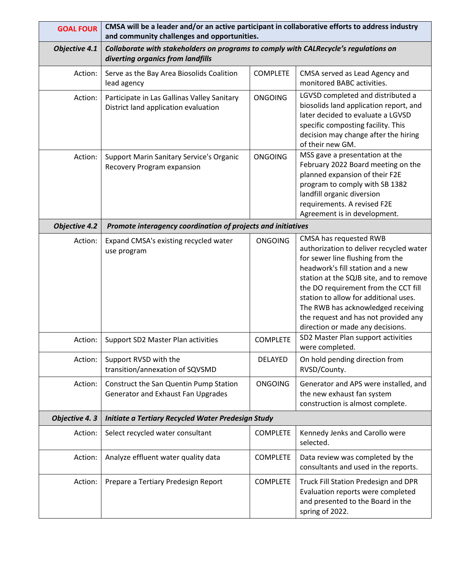| <b>GOAL FOUR</b>     | CMSA will be a leader and/or an active participant in collaborative efforts to address industry<br>and community challenges and opportunities. |                 |                                                                                                                                                                                                                                                                                                                                                                                          |  |
|----------------------|------------------------------------------------------------------------------------------------------------------------------------------------|-----------------|------------------------------------------------------------------------------------------------------------------------------------------------------------------------------------------------------------------------------------------------------------------------------------------------------------------------------------------------------------------------------------------|--|
| Objective 4.1        | Collaborate with stakeholders on programs to comply with CALRecycle's regulations on<br>diverting organics from landfills                      |                 |                                                                                                                                                                                                                                                                                                                                                                                          |  |
| Action:              | Serve as the Bay Area Biosolids Coalition<br>lead agency                                                                                       | <b>COMPLETE</b> | CMSA served as Lead Agency and<br>monitored BABC activities.                                                                                                                                                                                                                                                                                                                             |  |
| Action:              | Participate in Las Gallinas Valley Sanitary<br>District land application evaluation                                                            | <b>ONGOING</b>  | LGVSD completed and distributed a<br>biosolids land application report, and<br>later decided to evaluate a LGVSD<br>specific composting facility. This<br>decision may change after the hiring<br>of their new GM.                                                                                                                                                                       |  |
| Action:              | Support Marin Sanitary Service's Organic<br>Recovery Program expansion                                                                         | <b>ONGOING</b>  | MSS gave a presentation at the<br>February 2022 Board meeting on the<br>planned expansion of their F2E<br>program to comply with SB 1382<br>landfill organic diversion<br>requirements. A revised F2E<br>Agreement is in development.                                                                                                                                                    |  |
| <b>Objective 4.2</b> | Promote interagency coordination of projects and initiatives                                                                                   |                 |                                                                                                                                                                                                                                                                                                                                                                                          |  |
| Action:              | Expand CMSA's existing recycled water<br>use program                                                                                           | <b>ONGOING</b>  | CMSA has requested RWB<br>authorization to deliver recycled water<br>for sewer line flushing from the<br>headwork's fill station and a new<br>station at the SQJB site, and to remove<br>the DO requirement from the CCT fill<br>station to allow for additional uses.<br>The RWB has acknowledged receiving<br>the request and has not provided any<br>direction or made any decisions. |  |
| Action:              | Support SD2 Master Plan activities                                                                                                             | <b>COMPLETE</b> | SD2 Master Plan support activities<br>were completed.                                                                                                                                                                                                                                                                                                                                    |  |
| Action:              | Support RVSD with the<br>transition/annexation of SQVSMD                                                                                       | <b>DELAYED</b>  | On hold pending direction from<br>RVSD/County.                                                                                                                                                                                                                                                                                                                                           |  |
| Action:              | Construct the San Quentin Pump Station<br>Generator and Exhaust Fan Upgrades                                                                   | <b>ONGOING</b>  | Generator and APS were installed, and<br>the new exhaust fan system<br>construction is almost complete.                                                                                                                                                                                                                                                                                  |  |
| Objective 4.3        | Initiate a Tertiary Recycled Water Predesign Study                                                                                             |                 |                                                                                                                                                                                                                                                                                                                                                                                          |  |
| Action:              | Select recycled water consultant                                                                                                               | <b>COMPLETE</b> | Kennedy Jenks and Carollo were<br>selected.                                                                                                                                                                                                                                                                                                                                              |  |
| Action:              | Analyze effluent water quality data                                                                                                            | <b>COMPLETE</b> | Data review was completed by the<br>consultants and used in the reports.                                                                                                                                                                                                                                                                                                                 |  |
| Action:              | Prepare a Tertiary Predesign Report                                                                                                            | <b>COMPLETE</b> | Truck Fill Station Predesign and DPR<br>Evaluation reports were completed<br>and presented to the Board in the<br>spring of 2022.                                                                                                                                                                                                                                                        |  |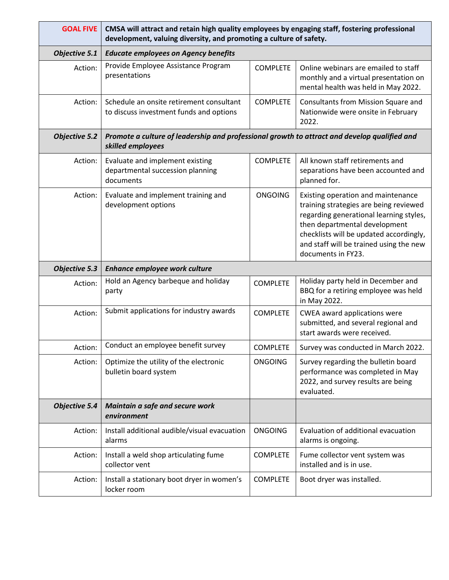| <b>GOAL FIVE</b>     | CMSA will attract and retain high quality employees by engaging staff, fostering professional<br>development, valuing diversity, and promoting a culture of safety. |                 |                                                                                                                                                                                                                                                                      |  |
|----------------------|---------------------------------------------------------------------------------------------------------------------------------------------------------------------|-----------------|----------------------------------------------------------------------------------------------------------------------------------------------------------------------------------------------------------------------------------------------------------------------|--|
| <b>Objective 5.1</b> | <b>Educate employees on Agency benefits</b>                                                                                                                         |                 |                                                                                                                                                                                                                                                                      |  |
| Action:              | Provide Employee Assistance Program<br>presentations                                                                                                                | <b>COMPLETE</b> | Online webinars are emailed to staff<br>monthly and a virtual presentation on<br>mental health was held in May 2022.                                                                                                                                                 |  |
| Action:              | Schedule an onsite retirement consultant<br>to discuss investment funds and options                                                                                 | <b>COMPLETE</b> | Consultants from Mission Square and<br>Nationwide were onsite in February<br>2022.                                                                                                                                                                                   |  |
| <b>Objective 5.2</b> | Promote a culture of leadership and professional growth to attract and develop qualified and<br>skilled employees                                                   |                 |                                                                                                                                                                                                                                                                      |  |
| Action:              | Evaluate and implement existing<br>departmental succession planning<br>documents                                                                                    | <b>COMPLETE</b> | All known staff retirements and<br>separations have been accounted and<br>planned for.                                                                                                                                                                               |  |
| Action:              | Evaluate and implement training and<br>development options                                                                                                          | <b>ONGOING</b>  | Existing operation and maintenance<br>training strategies are being reviewed<br>regarding generational learning styles,<br>then departmental development<br>checklists will be updated accordingly,<br>and staff will be trained using the new<br>documents in FY23. |  |
| <b>Objective 5.3</b> | Enhance employee work culture                                                                                                                                       |                 |                                                                                                                                                                                                                                                                      |  |
| Action:              | Hold an Agency barbeque and holiday                                                                                                                                 |                 |                                                                                                                                                                                                                                                                      |  |
|                      | party                                                                                                                                                               | <b>COMPLETE</b> | Holiday party held in December and<br>BBQ for a retiring employee was held<br>in May 2022.                                                                                                                                                                           |  |
| Action:              | Submit applications for industry awards                                                                                                                             | <b>COMPLETE</b> | CWEA award applications were<br>submitted, and several regional and<br>start awards were received.                                                                                                                                                                   |  |
| Action:              | Conduct an employee benefit survey                                                                                                                                  | <b>COMPLETE</b> | Survey was conducted in March 2022                                                                                                                                                                                                                                   |  |
| Action:              | Optimize the utility of the electronic<br>bulletin board system                                                                                                     | <b>ONGOING</b>  | Survey regarding the bulletin board<br>performance was completed in May<br>2022, and survey results are being<br>evaluated.                                                                                                                                          |  |
| <b>Objective 5.4</b> | Maintain a safe and secure work<br>environment                                                                                                                      |                 |                                                                                                                                                                                                                                                                      |  |
| Action:              | Install additional audible/visual evacuation<br>alarms                                                                                                              | <b>ONGOING</b>  | Evaluation of additional evacuation<br>alarms is ongoing.                                                                                                                                                                                                            |  |
| Action:              | Install a weld shop articulating fume<br>collector vent                                                                                                             | <b>COMPLETE</b> | Fume collector vent system was<br>installed and is in use.                                                                                                                                                                                                           |  |